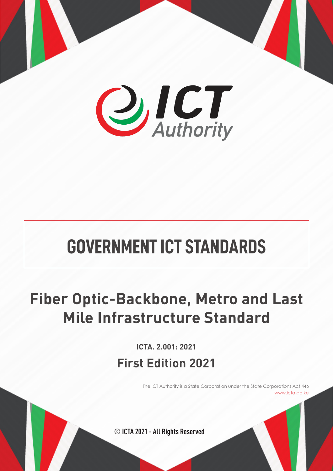

# **GOVERNMENT ICT STANDARDS**

# **Fiber Optic-Backbone, Metro and Last Mile Infrastructure Standard**

# **First Edition 2021 ICTA. 2.001: 2021**

The ICT Authority is a State Corporation under the State Corporations Act 446 www.icta.go.ke

**© ICTA 2021 - All Rights Reserved**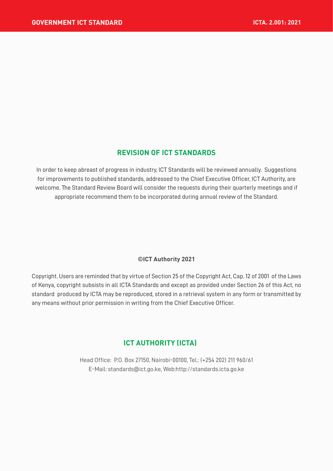#### **REVISION OF ICT STANDARDS**

In order to keep abreast of progress in industry, ICT Standards will be reviewed annually. Suggestions for improvements to published standards, addressed to the Chief Executive Officer, ICT Authority, are welcome. The Standard Review Board will consider the requests during their quarterly meetings and if appropriate recommend them to be incorporated during annual review of the Standard.

#### **©ICT Authority 2021**

Copyright. Users are reminded that by virtue of Section 25 of the Copyright Act, Cap. 12 of 2001 of the Laws of Kenya, copyright subsists in all ICTA Standards and except as provided under Section 26 of this Act, no standard produced by ICTA may be reproduced, stored in a retrieval system in any form or transmitted by any means without prior permission in writing from the Chief Executive Officer.

#### **ICT AUTHORITY (ICTA)**

Head Office: P.O. Box 27150, Nairobi-00100, Tel.: (+254 202) 211 960/61 E-Mail: standards@ict.go.ke, Web:http://standards.icta.go.ke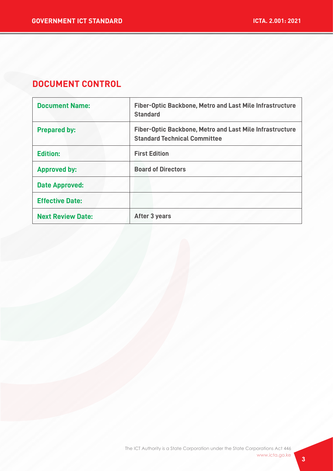# **DOCUMENT CONTROL**

| <b>Document Name:</b>    | Fiber-Optic Backbone, Metro and Last Mile Infrastructure<br><b>Standard</b>                            |
|--------------------------|--------------------------------------------------------------------------------------------------------|
| <b>Prepared by:</b>      | <b>Fiber-Optic Backbone, Metro and Last Mile Infrastructure</b><br><b>Standard Technical Committee</b> |
| <b>Edition:</b>          | <b>First Edition</b>                                                                                   |
| <b>Approved by:</b>      | <b>Board of Directors</b>                                                                              |
| <b>Date Approved:</b>    |                                                                                                        |
| <b>Effective Date:</b>   |                                                                                                        |
| <b>Next Review Date:</b> | After 3 years                                                                                          |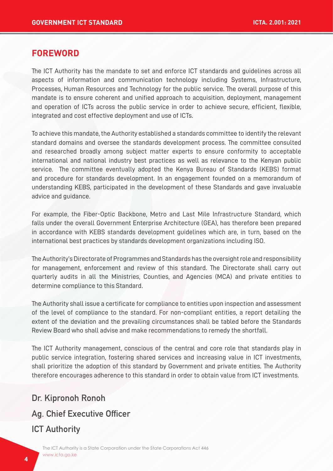# **FOREWORD**

The ICT Authority has the mandate to set and enforce ICT standards and guidelines across all aspects of information and communication technology including Systems, Infrastructure, Processes, Human Resources and Technology for the public service. The overall purpose of this mandate is to ensure coherent and unified approach to acquisition, deployment, management and operation of ICTs across the public service in order to achieve secure, efficient, flexible, integrated and cost effective deployment and use of ICTs.

To achieve this mandate, the Authority established a standards committee to identify the relevant standard domains and oversee the standards development process. The committee consulted and researched broadly among subject matter experts to ensure conformity to acceptable international and national industry best practices as well as relevance to the Kenyan public service. The committee eventually adopted the Kenya Bureau of Standards (KEBS) format and procedure for standards development. In an engagement founded on a memorandum of understanding KEBS, participated in the development of these Standards and gave invaluable advice and guidance.

For example, the Fiber-Optic Backbone, Metro and Last Mile Infrastructure Standard, which falls under the overall Government Enterprise Architecture (GEA), has therefore been prepared in accordance with KEBS standards development guidelines which are, in turn, based on the international best practices by standards development organizations including ISO.

The Authority's Directorate of Programmes and Standards has the oversight role and responsibility for management, enforcement and review of this standard. The Directorate shall carry out quarterly audits in all the Ministries, Counties, and Agencies (MCA) and private entities to determine compliance to this Standard.

The Authority shall issue a certificate for compliance to entities upon inspection and assessment of the level of compliance to the standard. For non-compliant entities, a report detailing the extent of the deviation and the prevailing circumstances shall be tabled before the Standards Review Board who shall advise and make recommendations to remedy the shortfall.

The ICT Authority management, conscious of the central and core role that standards play in public service integration, fostering shared services and increasing value in ICT investments, shall prioritize the adoption of this standard by Government and private entities. The Authority therefore encourages adherence to this standard in order to obtain value from ICT investments.

# Dr. Kipronoh Ronoh

#### Ag. Chief Executive Officer

# **ICT Authority**

The ICT Authority is a State Corporation under the State Corporations Act 446 www.icta.go.ke www.icta.go.ke **<sup>4</sup>**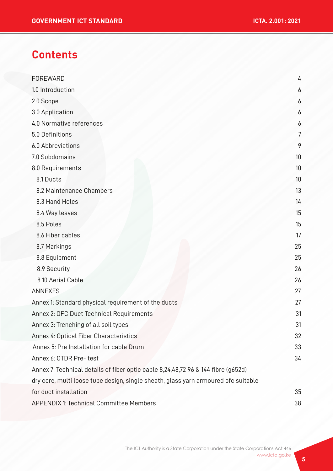# **Contents**

| FOREWARD                                                                           | 4              |
|------------------------------------------------------------------------------------|----------------|
| 1.0 Introduction                                                                   | 6              |
| 2.0 Scope                                                                          | 6              |
| 3.0 Application                                                                    | 6              |
| 4.0 Normative references                                                           | 6              |
| 5.0 Definitions                                                                    | $\overline{7}$ |
| 6.0 Abbreviations                                                                  | 9              |
| 7.0 Subdomains                                                                     | 10             |
| 8.0 Requirements                                                                   | 10             |
| 8.1 Ducts                                                                          | 10             |
| 8.2 Maintenance Chambers                                                           | 13             |
| 8.3 Hand Holes                                                                     | 14             |
| 8.4 Way leaves                                                                     | 15             |
| 8.5 Poles                                                                          | 15             |
| 8.6 Fiber cables                                                                   | 17             |
| 8.7 Markings                                                                       | 25             |
| 8.8 Equipment                                                                      | 25             |
| 8.9 Security                                                                       | 26             |
| 8.10 Aerial Cable                                                                  | 26             |
| <b>ANNEXES</b>                                                                     | 27             |
| Annex 1: Standard physical requirement of the ducts                                | 27             |
| Annex 2: OFC Duct Technical Requirements                                           | 31             |
| Annex 3: Trenching of all soil types                                               | 31             |
| Annex 4: Optical Fiber Characteristics                                             | 32             |
| Annex 5: Pre Installation for cable Drum                                           | 33             |
| Annex 6: OTDR Pre- test                                                            | 34             |
| Annex 7: Technical details of fiber optic cable 8,24,48,72 96 & 144 fibre (g652d)  |                |
| dry core, multi loose tube design, single sheath, glass yarn armoured ofc suitable |                |
| for duct installation                                                              | 35             |
| APPENDIX 1: Technical Committee Members                                            | 38             |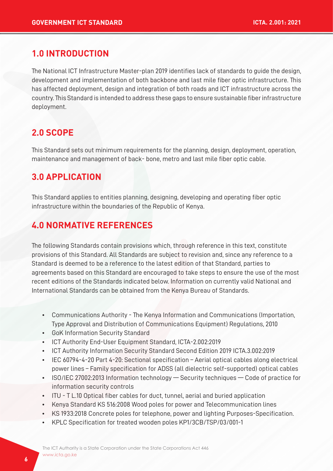# **1.0 INTRODUCTION**

The National ICT Infrastructure Master-plan 2019 identifies lack of standards to guide the design, development and implementation of both backbone and last mile fiber optic infrastructure. This has affected deployment, design and integration of both roads and ICT infrastructure across the country. This Standard is intended to address these gaps to ensure sustainable fiber infrastructure deployment.

# **2.0 SCOPE**

This Standard sets out minimum requirements for the planning, design, deployment, operation, maintenance and management of back- bone, metro and last mile fiber optic cable.

# **3.0 APPLICATION**

This Standard applies to entities planning, designing, developing and operating fiber optic infrastructure within the boundaries of the Republic of Kenya.

# **4.0 NORMATIVE REFERENCES**

The following Standards contain provisions which, through reference in this text, constitute provisions of this Standard. All Standards are subject to revision and, since any reference to a Standard is deemed to be a reference to the latest edition of that Standard, parties to agreements based on this Standard are encouraged to take steps to ensure the use of the most recent editions of the Standards indicated below. Information on currently valid National and International Standards can be obtained from the Kenya Bureau of Standards.

- Communications Authority The Kenya Information and Communications (Importation, Type Approval and Distribution of Communications Equipment) Regulations, 2010
- GoK Information Security Standard
- ICT Authority End-User Equipment Standard, ICTA-2.002:2019
- ICT Authority Information Security Standard Second Edition 2019 ICTA.3.002:2019
- IEC 60794-4-20 Part 4-20: Sectional specification Aerial optical cables along electrical power lines – Family specification for ADSS (all dielectric self-supported) optical cables
- ISO/IEC 27002:2013 Information technology Security techniques Code of practice for information security controls
- ITU T L.10 Optical fiber cables for duct, tunnel, aerial and buried application
- Kenya Standard KS 516:2008 Wood poles for power and Telecommunication lines
- KS 1933:2018 Concrete poles for telephone, power and lighting Purposes-Specification.
- KPLC Specification for treated wooden poles KP1/3CB/TSP/03/001-1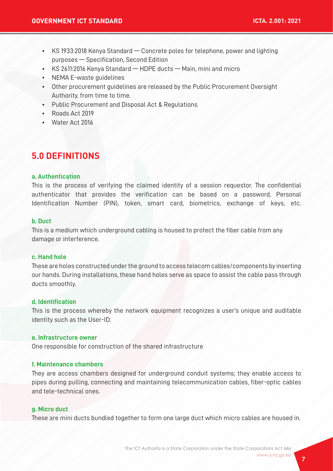- KS 1933:2018 Kenya Standard Concrete poles for telephone, power and lighting purposes — Specification, Second Edition
- KS 2611:2016 Kenya Standard HDPE ducts Main, mini and micro
- NEMA E-waste guidelines
- Other procurement guidelines are released by the Public Procurement Oversight Authority, from time to time.
- Public Procurement and Disposal Act & Regulations
- Roads Act 2019
- Water Act 2016

# **5.0 DEFINITIONS**

#### **a. Authentication**

This is the process of verifying the claimed identity of a session requestor. The confidential authenticator that provides the verification can be based on a password, Personal Identification Number (PIN), token, smart card, biometrics, exchange of keys, etc.

#### **b. Duct**

This is a medium which underground cabling is housed to protect the fiber cable from any damage or interference.

#### **c. Hand hole**

These are holes constructed under the ground to access telecom cables/components by inserting our hands. During installations, these hand holes serve as space to assist the cable pass through ducts smoothly.

#### **d. Identification**

This is the process whereby the network equipment recognizes a user's unique and auditable identity such as the User-ID.

#### **e. Infrastructure owner**

One responsible for construction of the shared infrastructure

#### **f. Maintenance chambers**

They are access chambers designed for underground conduit systems; they enable access to pipes during pulling, connecting and maintaining telecommunication cables, fiber-optic cables and tele-technical ones.

#### **g. Micro duct**

These are mini ducts bundled together to form one large duct which micro cables are housed in.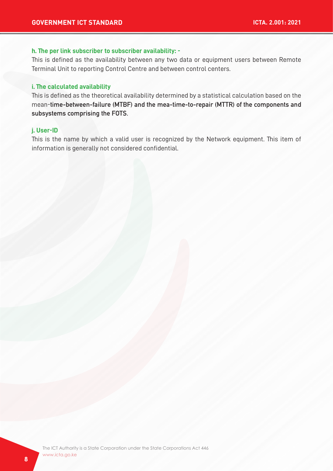#### **h. The per link subscriber to subscriber availability: -**

This is defined as the availability between any two data or equipment users between Remote Terminal Unit to reporting Control Centre and between control centers.

#### **i. The calculated availability**

This is defined as the theoretical availability determined by a statistical calculation based on the mean-time-between-failure (MTBF) and the mea-time-to-repair (MTTR) of the components and subsystems comprising the FOTS.

#### **j. User-ID**

This is the name by which a valid user is recognized by the Network equipment. This item of information is generally not considered confidential.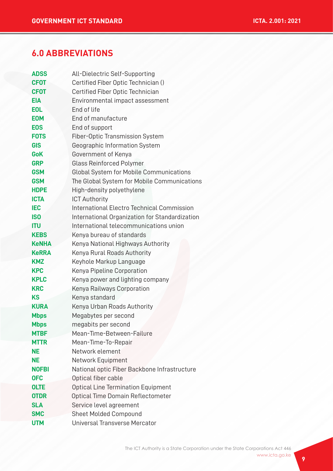# **6.0 ABBREVIATIONS**

| <b>ADSS</b>  | All-Dielectric Self-Supporting                 |
|--------------|------------------------------------------------|
| <b>CFOT</b>  | Certified Fiber Optic Technician ()            |
| <b>CFOT</b>  | Certified Fiber Optic Technician               |
| <b>EIA</b>   | Environmental impact assessment                |
| <b>EOL</b>   | End of life                                    |
| <b>EOM</b>   | End of manufacture                             |
| <b>EOS</b>   | End of support                                 |
| <b>FOTS</b>  | Fiber-Optic Transmission System                |
| <b>GIS</b>   | Geographic Information System                  |
| <b>GoK</b>   | Government of Kenya                            |
| <b>GRP</b>   | <b>Glass Reinforced Polymer</b>                |
| <b>GSM</b>   | Global System for Mobile Communications        |
| <b>GSM</b>   | The Global System for Mobile Communications    |
| <b>HDPE</b>  | High-density polyethylene                      |
| <b>ICTA</b>  | <b>ICT Authority</b>                           |
| <b>IEC</b>   | International Electro Technical Commission     |
| <b>ISO</b>   | International Organization for Standardization |
| <b>ITU</b>   | International telecommunications union         |
| <b>KEBS</b>  | Kenya bureau of standards                      |
| <b>KeNHA</b> | Kenya National Highways Authority              |
| <b>KeRRA</b> | Kenya Rural Roads Authority                    |
| <b>KMZ</b>   | Keyhole Markup Language                        |
| <b>KPC</b>   | Kenya Pipeline Corporation                     |
| <b>KPLC</b>  | Kenya power and lighting company               |
| <b>KRC</b>   | Kenya Railways Corporation                     |
| <b>KS</b>    | Kenya standard                                 |
| <b>KURA</b>  | Kenya Urban Roads Authority                    |
| <b>Mbps</b>  | Megabytes per second                           |
| <b>Mbps</b>  | megabits per second                            |
| <b>MTBF</b>  | Mean-Time-Between-Failure                      |
| <b>MTTR</b>  | Mean-Time-To-Repair                            |
| NΕ           | Network element                                |
| <b>NE</b>    | Network Equipment                              |
| <b>NOFBI</b> | National optic Fiber Backbone Infrastructure   |
| <b>OFC</b>   | Optical fiber cable                            |
| <b>OLTE</b>  | <b>Optical Line Termination Equipment</b>      |
| <b>OTDR</b>  | Optical Time Domain Reflectometer              |
| <b>SLA</b>   | Service level agreement                        |
| <b>SMC</b>   | <b>Sheet Molded Compound</b>                   |
| <b>UTM</b>   | Universal Transverse Mercator                  |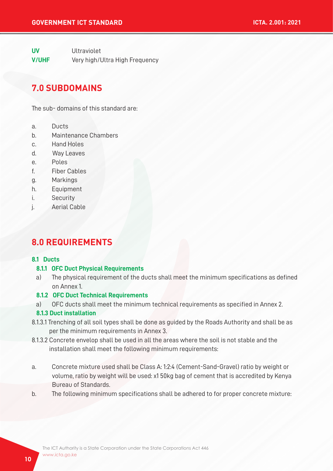**UV** Ultraviolet **V/UHF** Very high/Ultra High Frequency

# **7.0 SUBDOMAINS**

The sub- domains of this standard are:

- a. Ducts
- b. Maintenance Chambers
- c. Hand Holes
- d. Way Leaves
- e. Poles
- f. Fiber Cables
- g. Markings
- h. Equipment
- i. Security
- j. Aerial Cable

# **8.0 REQUIREMENTS**

#### **8.1 Ducts**

#### **8.1.1 OFC Duct Physical Requirements**

 a) The physical requirement of the ducts shall meet the minimum specifications as defined on Annex 1.

#### **8.1.2 OFC Duct Technical Requirements**

a) OFC ducts shall meet the minimum technical requirements as specified in Annex 2.

#### **8.1.3 Duct installation**

- 8.1.3.1 Trenching of all soil types shall be done as guided by the Roads Authority and shall be as per the minimum requirements in Annex 3.
- 8.1.3.2 Concrete envelop shall be used in all the areas where the soil is not stable and the installation shall meet the following minimum requirements:
- a. Concrete mixture used shall be Class A: 1:2:4 (Cement-Sand-Gravel) ratio by weight or volume, ratio by weight will be used: x1 50kg bag of cement that is accredited by Kenya Bureau of Standards.
- b. The following minimum specifications shall be adhered to for proper concrete mixture: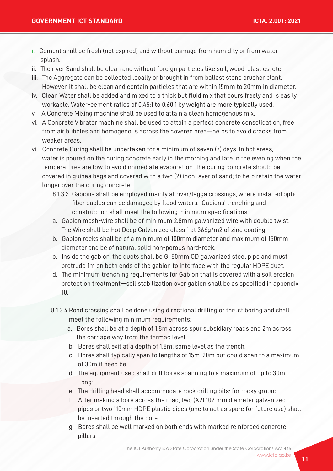- i. Cement shall be fresh (not expired) and without damage from humidity or from water splash.
- ii. The river Sand shall be clean and without foreign particles like soil, wood, plastics, etc.
- iii. The Aggregate can be collected locally or brought in from ballast stone crusher plant. However, it shall be clean and contain particles that are within 15mm to 20mm in diameter.
- iv. Clean Water shall be added and mixed to a thick but fluid mix that pours freely and is easily workable. Water–cement ratios of 0.45:1 to 0.60:1 by weight are more typically used.
- v. A Concrete Mixing machine shall be used to attain a clean homogenous mix.
- vi. A Concrete Vibrator machine shall be used to attain a perfect concrete consolidation; free from air bubbles and homogenous across the covered area—helps to avoid cracks from weaker areas.
- vii. Concrete Curing shall be undertaken for a minimum of seven (7) days. In hot areas, water is poured on the curing concrete early in the morning and late in the evening when the temperatures are low to avoid immediate evaporation. The curing concrete should be covered in guinea bags and covered with a two (2) inch layer of sand; to help retain the water longer over the curing concrete.
	- 8.1.3.3 Gabions shall be employed mainly at river/lagga crossings, where installed optic fiber cables can be damaged by flood waters. Gabions' trenching and construction shall meet the following minimum specifications:
	- a. Gabion mesh-wire shall be of minimum 2.8mm galvanized wire with double twist. The Wire shall be Hot Deep Galvanized class 1 at 366g/m2 of zinc coating.
	- b. Gabion rocks shall be of a minimum of 100mm diameter and maximum of 150mm diameter and be of natural solid non-porous hard-rock.
	- c. Inside the gabion, the ducts shall be GI 50mm OD galvanized steel pipe and must protrude 1m on both ends of the gabion to interface with the regular HDPE duct.
	- d. The minimum trenching requirements for Gabion that is covered with a soil erosion protection treatment—soil stabilization over gabion shall be as specified in appendix 10.
	- 8.1.3.4 Road crossing shall be done using directional drilling or thrust boring and shall meet the following minimum requirements:
		- a. Bores shall be at a depth of 1.8m across spur subsidiary roads and 2m across the carriage way from the tarmac level.
		- b. Bores shall exit at a depth of 1.8m; same level as the trench.
		- c. Bores shall typically span to lengths of 15m-20m but could span to a maximum of 30m if need be.
		- d. The equipment used shall drill bores spanning to a maximum of up to 30m long:
		- e. The drilling head shall accommodate rock drilling bits: for rocky ground.
		- f. After making a bore across the road, two (X2) 102 mm diameter galvanized pipes or two 110mm HDPE plastic pipes (one to act as spare for future use) shall be inserted through the bore.
		- g. Bores shall be well marked on both ends with marked reinforced concrete pillars.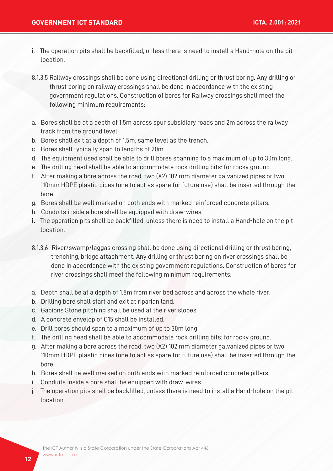- i. The operation pits shall be backfilled, unless there is need to install a Hand-hole on the pit location.
- 8.1.3.5 Railway crossings shall be done using directional drilling or thrust boring. Any drilling or thrust boring on railway crossings shall be done in accordance with the existing government regulations. Construction of bores for Railway crossings shall meet the following minimum requirements:
- a. Bores shall be at a depth of 1.5m across spur subsidiary roads and 2m across the railway track from the ground level.
- b. Bores shall exit at a depth of 1.5m; same level as the trench.
- c. Bores shall typically span to lengths of 20m.
- d. The equipment used shall be able to drill bores spanning to a maximum of up to 30m long.
- e. The drilling head shall be able to accommodate rock drilling bits: for rocky ground.
- f. After making a bore across the road, two (X2) 102 mm diameter galvanized pipes or two 110mm HDPE plastic pipes (one to act as spare for future use) shall be inserted through the bore.
- g. Bores shall be well marked on both ends with marked reinforced concrete pillars.
- h. Conduits inside a bore shall be equipped with draw-wires.
- **i.** The operation pits shall be backfilled, unless there is need to install a Hand-hole on the pit location.
- 8.1.3.6 River/swamp/laggas crossing shall be done using directional drilling or thrust boring, trenching, bridge attachment. Any drilling or thrust boring on river crossings shall be done in accordance with the existing government regulations. Construction of bores for river crossings shall meet the following minimum requirements:
- a. Depth shall be at a depth of 1.8m from river bed across and across the whole river.
- b. Drilling bore shall start and exit at riparian land.
- c. Gabions Stone pitching shall be used at the river slopes.
- d. A concrete envelop of C15 shall be installed.
- e. Drill bores should span to a maximum of up to 30m long.
- f. The drilling head shall be able to accommodate rock drilling bits: for rocky ground.
- g. After making a bore across the road, two (X2) 102 mm diameter galvanized pipes or two 110mm HDPE plastic pipes (one to act as spare for future use) shall be inserted through the bore.
- h. Bores shall be well marked on both ends with marked reinforced concrete pillars.
- i. Conduits inside a bore shall be equipped with draw-wires.
- j. The operation pits shall be backfilled, unless there is need to install a Hand-hole on the pit location.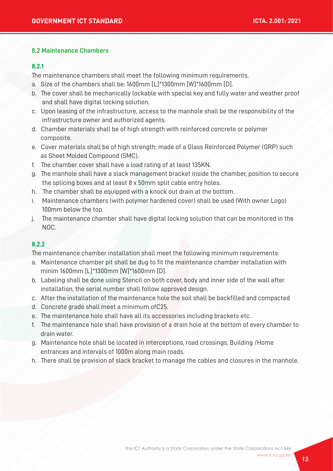#### **8.2 Maintenance Chambers**

#### **8.2.1**

The maintenance chambers shall meet the following minimum requirements.

- a. Size of the chambers shall be: 1600mm [L]\*1300mm [W]\*1600mm [D].
- b. The cover shall be mechanically lockable with special key and fully water and weather proof and shall have digital locking solution.
- c. Upon leasing of the infrastructure, access to the manhole shall be the responsibility of the infrastructure owner and authorized agents.
- d. Chamber materials shall be of high strength with reinforced concrete or polymer composite.
- e. Cover materials shall be of high strength; made of a Glass Reinforced Polymer (GRP) such as Sheet Molded Compound (SMC).
- f. The chamber cover shall have a load rating of at least 135KN.
- g. The manhole shall have a slack management bracket inside the chamber, position to secure the splicing boxes and at least 8 x 50mm split cable entry holes.
- h. The chamber shall be equipped with a knock out drain at the bottom.
- i. Maintenance chambers (with polymer hardened cover) shall be used (With owner Logo) 100mm below the top.
- j. The maintenance chamber shall have digital locking solution that can be monitored in the NOC.

#### **8.2.2**

The maintenance chamber installation shall meet the following minimum requirements:

- a. Maintenance chamber pit shall be dug to fit the maintenance chamber installation with minim 1600mm [L]\*1300mm [W]\*1600mm [D].
- b. Labeling shall be done using Stencil on both cover, body and inner side of the wall after installation, the serial number shall follow approved design.
- c. After the installation of the maintenance hole the soil shall be backfilled and compacted
- d. Concrete grade shall meet a minimum ofC25.
- e. The maintenance hole shall have all its accessories including brackets etc.
- f. The maintenance hole shall have provision of a drain hole at the bottom of every chamber to drain water.
- g. Maintenance hole shall be located in interceptions, road crossings, Building /Home entrances and intervals of 1000m along main roads.
- h. There shall be provision of slack bracket to manage the cables and closures in the manhole.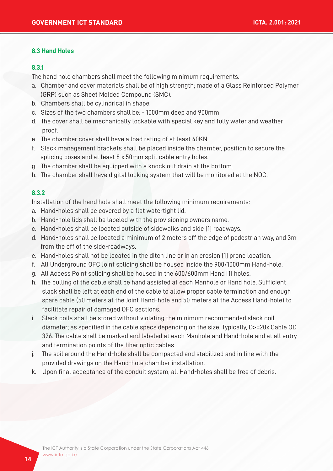#### **8.3 Hand Holes**

#### **8.3.1**

The hand hole chambers shall meet the following minimum requirements.

- a. Chamber and cover materials shall be of high strength; made of a Glass Reinforced Polymer (GRP) such as Sheet Molded Compound (SMC).
- b. Chambers shall be cylindrical in shape.
- c. Sizes of the two chambers shall be: 1000mm deep and 900mm
- d. The cover shall be mechanically lockable with special key and fully water and weather proof.
- e. The chamber cover shall have a load rating of at least 40KN.
- f. Slack management brackets shall be placed inside the chamber, position to secure the splicing boxes and at least 8 x 50mm split cable entry holes.
- g. The chamber shall be equipped with a knock out drain at the bottom.
- h. The chamber shall have digital locking system that will be monitored at the NOC.

#### **8.3.2**

Installation of the hand hole shall meet the following minimum requirements:

- a. Hand-holes shall be covered by a flat watertight lid.
- b. Hand-hole lids shall be labeled with the provisioning owners name.
- c. Hand-holes shall be located outside of sidewalks and side [1] roadways.
- d. Hand-holes shall be located a minimum of 2 meters off the edge of pedestrian way, and 3m from the off of the side-roadways.
- e. Hand-holes shall not be located in the ditch line or in an erosion [1] prone location.
- f. All Underground OFC Joint splicing shall be housed inside the 900/1000mm Hand-hole.
- g. All Access Point splicing shall be housed in the 600/600mm Hand [1] holes.
- h. The pulling of the cable shall be hand assisted at each Manhole or Hand hole. Sufficient slack shall be left at each end of the cable to allow proper cable termination and enough spare cable (50 meters at the Joint Hand-hole and 50 meters at the Access Hand-hole) to facilitate repair of damaged OFC sections.
- i. Slack coils shall be stored without violating the minimum recommended slack coil diameter; as specified in the cable specs depending on the size. Typically, D>=20x Cable OD 326. The cable shall be marked and labeled at each Manhole and Hand-hole and at all entry and termination points of the fiber optic cables.
- j. The soil around the Hand-hole shall be compacted and stabilized and in line with the provided drawings on the Hand-hole chamber installation.
- k. Upon final acceptance of the conduit system, all Hand-holes shall be free of debris.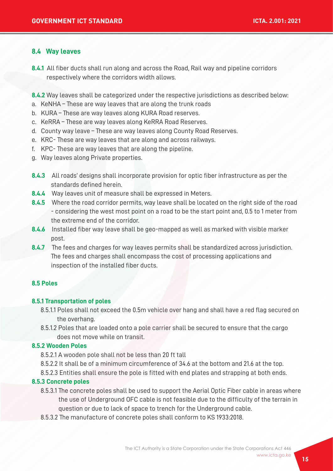#### **8.4 Way leaves**

**8.4.1** All fiber ducts shall run along and across the Road, Rail way and pipeline corridors respectively where the corridors width allows.

**8.4.2** Way leaves shall be categorized under the respective jurisdictions as described below:

- a. KeNHA These are way leaves that are along the trunk roads
- b. KURA These are way leaves along KURA Road reserves.
- c. KeRRA These are way leaves along KeRRA Road Reserves.
- d. County way leave These are way leaves along County Road Reserves.
- e. KRC- These are way leaves that are along and across railways.
- f. KPC- These are way leaves that are along the pipeline.
- g. Way leaves along Private properties.
- **8.4.3** All roads' designs shall incorporate provision for optic fiber infrastructure as per the standards defined herein.
- **8.4.4** Way leaves unit of measure shall be expressed in Meters.
- **8.4.5** Where the road corridor permits, way leave shall be located on the right side of the road - considering the west most point on a road to be the start point and, 0.5 to 1 meter from the extreme end of the corridor.
- **8.4.6** Installed fiber way leave shall be geo-mapped as well as marked with visible marker post.
- **8.4.7** The fees and charges for way leaves permits shall be standardized across jurisdiction. The fees and charges shall encompass the cost of processing applications and inspection of the installed fiber ducts.

#### **8.5 Poles**

#### **8.5.1 Transportation of poles**

- 8.5.1.1 Poles shall not exceed the 0.5m vehicle over hang and shall have a red flag secured on the overhang.
- 8.5.1.2 Poles that are loaded onto a pole carrier shall be secured to ensure that the cargo does not move while on transit.

#### **8.5.2 Wooden Poles**

- 8.5.2.1 A wooden pole shall not be less than 20 ft tall
- 8.5.2.2 It shall be of a minimum circumference of 34.6 at the bottom and 21.6 at the top.
- 8.5.2.3 Entities shall ensure the pole is fitted with end plates and strapping at both ends.

#### **8.5.3 Concrete poles**

- 8.5.3.1 The concrete poles shall be used to support the Aerial Optic Fiber cable in areas where the use of Underground OFC cable is not feasible due to the difficulty of the terrain in question or due to lack of space to trench for the Underground cable.
- 8.5.3.2 The manufacture of concrete poles shall conform to KS 1933:2018.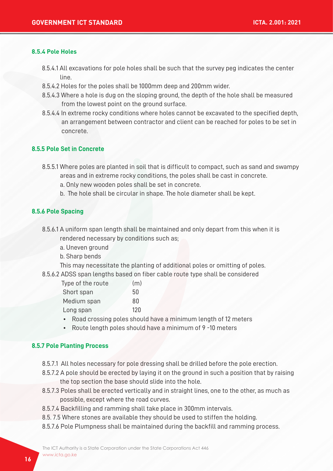#### **8.5.4 Pole Holes**

- 8.5.4.1 All excavations for pole holes shall be such that the survey peg indicates the center line.
- 8.5.4.2 Holes for the poles shall be 1000mm deep and 200mm wider.
- 8.5.4.3 Where a hole is dug on the sloping ground, the depth of the hole shall be measured from the lowest point on the ground surface.
- 8.5.4.4 In extreme rocky conditions where holes cannot be excavated to the specified depth, an arrangement between contractor and client can be reached for poles to be set in concrete.

#### **8.5.5 Pole Set in Concrete**

- 8.5.5.1 Where poles are planted in soil that is difficult to compact, such as sand and swampy areas and in extreme rocky conditions, the poles shall be cast in concrete.
	- a. Only new wooden poles shall be set in concrete.
	- b. The hole shall be circular in shape. The hole diameter shall be kept.

#### **8.5.6 Pole Spacing**

- 8.5.6.1 A uniform span length shall be maintained and only depart from this when it is rendered necessary by conditions such as;
	- a. Uneven ground
	- b. Sharp bends

This may necessitate the planting of additional poles or omitting of poles.

8.5.6.2 ADSS span lengths based on fiber cable route type shall be considered

| Type of the route | (m) |
|-------------------|-----|
| Short span        | 50  |
| Medium span       | 80  |
| Long span         | 120 |

- Road crossing poles should have a minimum length of 12 meters
- Route length poles should have a minimum of 9 -10 meters

#### **8.5.7 Pole Planting Process**

- 8.5.7.1 All holes necessary for pole dressing shall be drilled before the pole erection.
- 8.5.7.2 A pole should be erected by laying it on the ground in such a position that by raising the top section the base should slide into the hole.
- 8.5.7.3 Poles shall be erected vertically and in straight lines, one to the other, as much as possible, except where the road curves.
- 8.5.7.4 Backfilling and ramming shall take place in 300mm intervals.
- 8.5. 7.5 Where stones are available they should be used to stiffen the holding.
- 8.5.7.6 Pole Plumpness shall be maintained during the backfill and ramming process.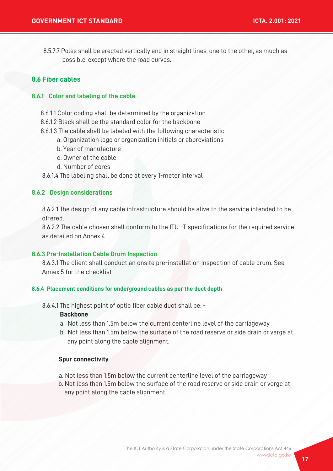8.5.7.7 Poles shall be erected vertically and in straight lines, one to the other, as much as possible, except where the road curves.

#### **8.6 Fiber cables**

#### **8.6.1 Color and labeling of the cable**

- 8.6.1.1 Color coding shall be determined by the organization
- 8.6.1.2 Black shall be the standard color for the backbone
- 8.6.1.3 The cable shall be labeled with the following characteristic
	- a. Organization logo or organization initials or abbreviations
	- b. Year of manufacture
	- c. Owner of the cable
	- d. Number of cores

8.6.1.4 The labeling shall be done at every 1-meter interval

#### **8.6.2 Design considerations**

 8.6.2.1 The design of any cable infrastructure should be alive to the service intended to be offered.

 8.6.2.2 The cable chosen shall conform to the ITU -T specifications for the required service as detailed on Annex 4.

#### **8.6.3 Pre-Installation Cable Drum Inspection**

 8.6.3.1 The client shall conduct an onsite pre-installation inspection of cable drum. See Annex 5 for the checklist

#### **8.6.4 Placement conditions for underground cables as per the duct depth**

8.6.4.1 The highest point of optic fiber cable duct shall be: -

#### **Backbone**

- a. Not less than 1.5m below the current centerline level of the carriageway
- b. Not less than 1.5m below the surface of the road reserve or side drain or verge at any point along the cable alignment.

#### **Spur connectivity**

- a. Not less than 1.5m below the current centerline level of the carriageway
- b. Not less than 1.5m below the surface of the road reserve or side drain or verge at any point along the cable alignment.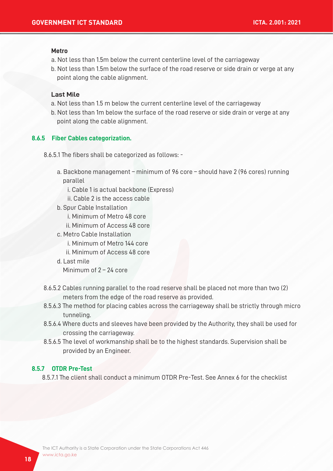#### **Metro**

- a. Not less than 1.5m below the current centerline level of the carriageway
- b. Not less than 1.5m below the surface of the road reserve or side drain or verge at any point along the cable alignment.

#### **Last Mile**

- a. Not less than 1.5 m below the current centerline level of the carriageway
- b. Not less than 1m below the surface of the road reserve or side drain or verge at any point along the cable alignment.

#### **8.6.5 Fiber Cables categorization.**

- 8.6.5.1 The fibers shall be categorized as follows:
	- a. Backbone management minimum of 96 core should have 2 (96 cores) running parallel
		- i. Cable 1 is actual backbone (Express)
		- ii. Cable 2 is the access cable
	- b. Spur Cable Installation
		- i. Minimum of Metro 48 core
		- ii. Minimum of Access 48 core
	- c. Metro Cable Installation
		- i. Minimum of Metro 144 core
		- ii. Minimum of Access 48 core
	- d. Last mile

Minimum of 2 – 24 core

- 8.6.5.2 Cables running parallel to the road reserve shall be placed not more than two (2) meters from the edge of the road reserve as provided.
- 8.5.6.3 The method for placing cables across the carriageway shall be strictly through micro tunneling.
- 8.5.6.4 Where ducts and sleeves have been provided by the Authority, they shall be used for crossing the carriageway.
- 8.5.6.5 The level of workmanship shall be to the highest standards. Supervision shall be provided by an Engineer.

#### **8.5.7 OTDR Pre-Test**

8.5.7.1 The client shall conduct a minimum OTDR Pre-Test. See Annex 6 for the checklist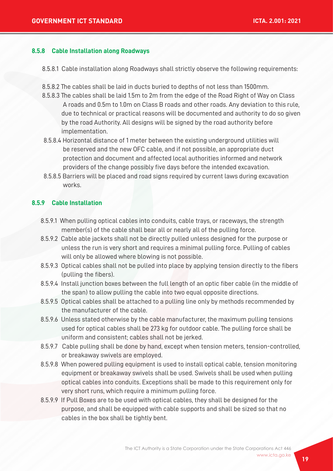#### **8.5.8 Cable Installation along Roadways**

8.5.8.1 Cable installation along Roadways shall strictly observe the following requirements:

- 8.5.8.2 The cables shall be laid in ducts buried to depths of not less than 1500mm.
- 8.5.8.3 The cables shall be laid 1.5m to 2m from the edge of the Road Right of Way on Class A roads and 0.5m to 1.0m on Class B roads and other roads. Any deviation to this rule, due to technical or practical reasons will be documented and authority to do so given by the road Authority. All designs will be signed by the road authority before implementation.
- 8.5.8.4 Horizontal distance of 1 meter between the existing underground utilities will be reserved and the new OFC cable, and if not possible, an appropriate duct protection and document and affected local authorities informed and network providers of the change possibly five days before the intended excavation.
- 8.5.8.5 Barriers will be placed and road signs required by current laws during excavation works.

#### **8.5.9 Cable Installation**

- 8.5.9.1 When pulling optical cables into conduits, cable trays, or raceways, the strength member(s) of the cable shall bear all or nearly all of the pulling force.
- 8.5.9.2 Cable able jackets shall not be directly pulled unless designed for the purpose or unless the run is very short and requires a minimal pulling force. Pulling of cables will only be allowed where blowing is not possible.
- 8.5.9.3 Optical cables shall not be pulled into place by applying tension directly to the fibers (pulling the fibers).
- 8.5.9.4 Install junction boxes between the full length of an optic fiber cable (in the middle of the span) to allow pulling the cable into two equal opposite directions.
- 8.5.9.5 Optical cables shall be attached to a pulling line only by methods recommended by the manufacturer of the cable.
- 8.5.9.6 Unless stated otherwise by the cable manufacturer, the maximum pulling tensions used for optical cables shall be 273 kg for outdoor cable. The pulling force shall be uniform and consistent; cables shall not be jerked.
- 8.5.9.7 Cable pulling shall be done by hand, except when tension meters, tension-controlled, or breakaway swivels are employed.
- 8.5.9.8 When powered pulling equipment is used to install optical cable, tension monitoring equipment or breakaway swivels shall be used. Swivels shall be used when pulling optical cables into conduits. Exceptions shall be made to this requirement only for very short runs, which require a minimum pulling force.
- 8.5.9.9 If Pull Boxes are to be used with optical cables, they shall be designed for the purpose, and shall be equipped with cable supports and shall be sized so that no cables in the box shall be tightly bent.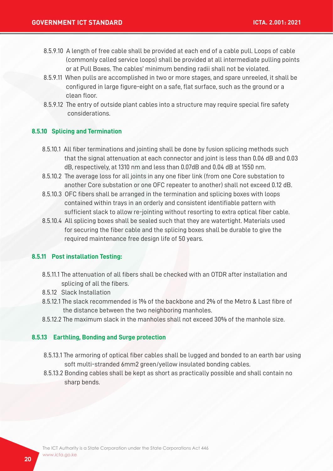- 8.5.9.10 A length of free cable shall be provided at each end of a cable pull. Loops of cable (commonly called service loops) shall be provided at all intermediate pulling points or at Pull Boxes. The cables' minimum bending radii shall not be violated.
- 8.5.9.11 When pulls are accomplished in two or more stages, and spare unreeled, it shall be configured in large figure-eight on a safe, flat surface, such as the ground or a clean floor.
- 8.5.9.12 The entry of outside plant cables into a structure may require special fire safety considerations.

#### **8.5.10 Splicing and Termination**

- 8.5.10.1 All fiber terminations and jointing shall be done by fusion splicing methods such that the signal attenuation at each connector and joint is less than 0.06 dB and 0.03 dB, respectively, at 1310 nm and less than 0.07dB and 0.04 dB at 1550 nm.
- 8.5.10.2 The average loss for all joints in any one fiber link (from one Core substation to another Core substation or one OFC repeater to another) shall not exceed 0.12 dB.
- 8.5.10.3 OFC fibers shall be arranged in the termination and splicing boxes with loops contained within trays in an orderly and consistent identifiable pattern with sufficient slack to allow re-jointing without resorting to extra optical fiber cable.
- 8.5.10.4 All splicing boxes shall be sealed such that they are watertight. Materials used for securing the fiber cable and the splicing boxes shall be durable to give the required maintenance free design life of 50 years.

#### **8.5.11 Post installation Testing:**

- 8.5.11.1 The attenuation of all fibers shall be checked with an OTDR after installation and splicing of all the fibers.
- 8.5.12 Slack Installation
- 8.5.12.1 The slack recommended is 1% of the backbone and 2% of the Metro & Last fibre of the distance between the two neighboring manholes.
- 8.5.12.2 The maximum slack in the manholes shall not exceed 30% of the manhole size.

#### **8.5.13 Earthling, Bonding and Surge protection**

- 8.5.13.1 The armoring of optical fiber cables shall be lugged and bonded to an earth bar using soft multi-stranded 6mm2 green/yellow insulated bonding cables.
- 8.5.13.2 Bonding cables shall be kept as short as practically possible and shall contain no sharp bends.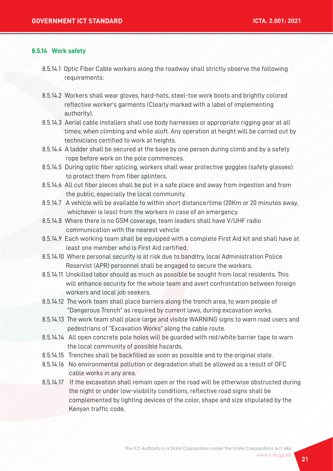#### **8.5.14 Work safety**

- 8.5.14.1 Optic Fiber Cable workers along the roadway shall strictly observe the following requirements:
- 8.5.14.2 Workers shall wear gloves, hard-hats, steel-toe work boots and brightly colored reflective worker's garments (Clearly marked with a label of implementing authority).
- 8.5.14.3 Aerial cable installers shall use body harnesses or appropriate rigging gear at all times; when climbing and while aloft. Any operation at height will be carried out by technicians certified to work at heights.
- 8.5.14.4 A ladder shall be secured at the base by one person during climb and by a safety rope before work on the pole commences.
- 8.5.14.5 During optic fiber splicing, workers shall wear protective goggles (safety glasses) to protect them from fiber splinters.
- 8.5.14.6 All cut fiber pieces shall be put in a safe place and away from ingestion and from the public, especially the local community.
- 8.5.14.7 A vehicle will be available to within short distance/time (20Km or 20 minutes away, whichever is less) from the workers in case of an emergency.
- 8.5.14.8 Where there is no GSM coverage, team leaders shall have V/UHF radio communication with the nearest vehicle
- 8.5.14.9 Each working team shall be equipped with a complete First Aid kit and shall have at least one member who is First Aid certified.
- 8.5.14.10 Where personal security is at risk due to banditry, local Administration Police Reservist (APR) personnel shall be engaged to secure the workers.
- 8.5.14.11 Unskilled labor should as much as possible be sought from local residents. This will enhance security for the whole team and avert confrontation between foreign workers and local job seekers.
- 8.5.14.12 The work team shall place barriers along the trench area, to warn people of "Dangerous Trench" as required by current laws, during excavation works.
- 8.5.14.13 The work team shall place large and visible WARNING signs to warn road users and pedestrians of "Excavation Works" along the cable route.
- 8.5.14.14 All open concrete pole holes will be guarded with red/white barrier tape to warn the local community of possible hazards.
- 8.5.14.15 Trenches shall be backfilled as soon as possible and to the original state.
- 8.5.14.16 No environmental pollution or degradation shall be allowed as a result of OFC cable works in any area.
- 8.5.14.17 If the excavation shall remain open or the road will be otherwise obstructed during the night or under low-visibility conditions, reflective road signs shall be complemented by lighting devices of the color, shape and size stipulated by the Kenyan traffic code.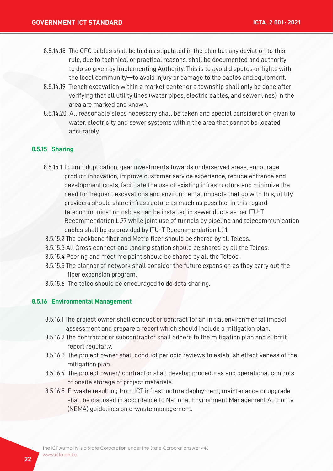- 8.5.14.18 The OFC cables shall be laid as stipulated in the plan but any deviation to this rule, due to technical or practical reasons, shall be documented and authority to do so given by Implementing Authority. This is to avoid disputes or fights with the local community—to avoid injury or damage to the cables and equipment.
- 8.5.14.19 Trench excavation within a market center or a township shall only be done after verifying that all utility lines (water pipes, electric cables, and sewer lines) in the area are marked and known.
- 8.5.14.20 All reasonable steps necessary shall be taken and special consideration given to water, electricity and sewer systems within the area that cannot be located accurately.

#### **8.5.15 Sharing**

- 8.5.15.1 To limit duplication, gear investments towards underserved areas, encourage product innovation, improve customer service experience, reduce entrance and development costs, facilitate the use of existing infrastructure and minimize the need for frequent excavations and environmental impacts that go with this, utility providers should share infrastructure as much as possible. In this regard telecommunication cables can be installed in sewer ducts as per ITU-T Recommendation L.77 while joint use of tunnels by pipeline and telecommunication cables shall be as provided by ITU-T Recommendation L.11.
- 8.5.15.2 The backbone fiber and Metro fiber should be shared by all Telcos.
- 8.5.15.3 All Cross connect and landing station should be shared by all the Telcos.
- 8.5.15.4 Peering and meet me point should be shared by all the Telcos.
- 8.5.15.5 The planner of network shall consider the future expansion as they carry out the fiber expansion program.
- 8.5.15.6 The telco should be encouraged to do data sharing.

#### **8.5.16 Environmental Management**

- 8.5.16.1 The project owner shall conduct or contract for an initial environmental impact assessment and prepare a report which should include a mitigation plan.
- 8.5.16.2 The contractor or subcontractor shall adhere to the mitigation plan and submit report regularly.
- 8.5.16.3 The project owner shall conduct periodic reviews to establish effectiveness of the mitigation plan.
- 8.5.16.4 The project owner/ contractor shall develop procedures and operational controls of onsite storage of project materials.
- 8.5.16.5 E-waste resulting from ICT infrastructure deployment, maintenance or upgrade shall be disposed in accordance to National Environment Management Authority (NEMA) guidelines on e-waste management.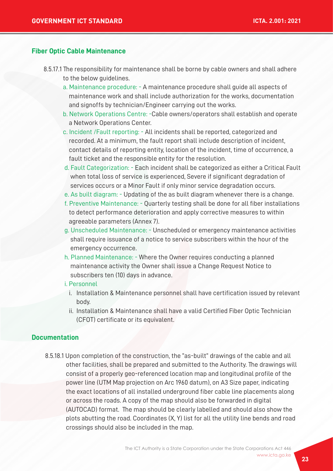#### **Fiber Optic Cable Maintenance**

- 8.5.17.1 The responsibility for maintenance shall be borne by cable owners and shall adhere to the below guidelines.
	- a. Maintenance procedure: A maintenance procedure shall guide all aspects of maintenance work and shall include authorization for the works, documentation and signoffs by technician/Engineer carrying out the works.
	- b. Network Operations Centre: -Cable owners/operators shall establish and operate a Network Operations Center.
	- c. Incident /Fault reporting: All incidents shall be reported, categorized and recorded. At a minimum, the fault report shall include description of incident, contact details of reporting entity, location of the incident, time of occurrence, a fault ticket and the responsible entity for the resolution.
	- d. Fault Categorization: Each incident shall be categorized as either a Critical Fault when total loss of service is experienced, Severe if significant degradation of services occurs or a Minor Fault if only minor service degradation occurs.
	- e. As built diagram: Updating of the as built diagram whenever there is a change.
	- f. Preventive Maintenance: Quarterly testing shall be done for all fiber installations to detect performance deterioration and apply corrective measures to within agreeable parameters (Annex 7).
	- g. Unscheduled Maintenance: Unscheduled or emergency maintenance activities shall require issuance of a notice to service subscribers within the hour of the emergency occurrence.
	- h. Planned Maintenance: Where the Owner requires conducting a planned maintenance activity the Owner shall issue a Change Request Notice to subscribers ten (10) days in advance.
	- i. Personnel
		- i. Installation & Maintenance personnel shall have certification issued by relevant body.
		- ii. Installation & Maintenance shall have a valid Certified Fiber Optic Technician (CFOT) certificate or its equivalent.

#### **Documentation**

 8.5.18.1 Upon completion of the construction, the "as-built" drawings of the cable and all other facilities, shall be prepared and submitted to the Authority. The drawings will consist of a properly geo-referenced location map and longitudinal profile of the power line (UTM Map projection on Arc 1960 datum), on A3 Size paper, indicating the exact locations of all installed underground fiber cable line placements along or across the roads. A copy of the map should also be forwarded in digital (AUTOCAD) format. The map should be clearly labelled and should also show the plots abutting the road. Coordinates (X, Y) list for all the utility line bends and road crossings should also be included in the map.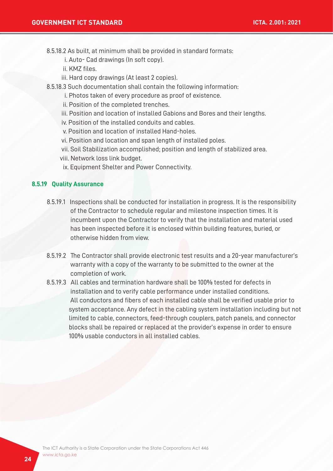8.5.18.2 As built, at minimum shall be provided in standard formats:

- i. Auto- Cad drawings (In soft copy).
- ii. KMZ files.
- iii. Hard copy drawings (At least 2 copies).
- 8.5.18.3 Such documentation shall contain the following information:
	- i. Photos taken of every procedure as proof of existence.
	- ii. Position of the completed trenches.
	- iii. Position and location of installed Gabions and Bores and their lengths.
	- iv. Position of the installed conduits and cables.
	- v. Position and location of installed Hand-holes.
	- vi. Position and location and span length of installed poles.
	- vii. Soil Stabilization accomplished; position and length of stabilized area.
	- viii. Network loss link budget.
	- ix. Equipment Shelter and Power Connectivity.

#### **8.5.19 Quality Assurance**

- 8.5.19.1 Inspections shall be conducted for installation in progress. It is the responsibility of the Contractor to schedule regular and milestone inspection times. It is incumbent upon the Contractor to verify that the installation and material used has been inspected before it is enclosed within building features, buried, or otherwise hidden from view.
- 8.5.19.2 The Contractor shall provide electronic test results and a 20-year manufacturer's warranty with a copy of the warranty to be submitted to the owner at the completion of work.
- 8.5.19.3 All cables and termination hardware shall be 100% tested for defects in installation and to verify cable performance under installed conditions. All conductors and fibers of each installed cable shall be verified usable prior to system acceptance. Any defect in the cabling system installation including but not limited to cable, connectors, feed-through couplers, patch panels, and connector blocks shall be repaired or replaced at the provider's expense in order to ensure 100% usable conductors in all installed cables.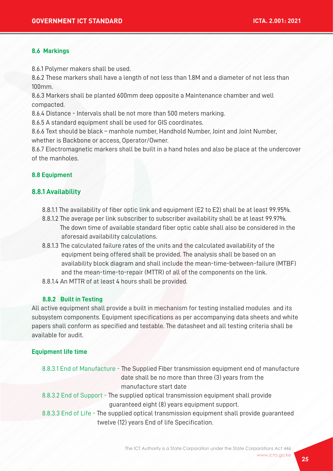#### **8.6 Markings**

8.6.1 Polymer makers shall be used.

8.6.2 These markers shall have a length of not less than 1.8M and a diameter of not less than 100mm.

8.6.3 Markers shall be planted 600mm deep opposite a Maintenance chamber and well compacted.

8.6.4 Distance - Intervals shall be not more than 500 meters marking.

8.6.5 A standard equipment shall be used for GIS coordinates.

8.6.6 Text should be black – manhole number, Handhold Number, Joint and Joint Number, whether is Backbone or access, Operator/Owner.

8.6.7 Electromagnetic markers shall be built in a hand holes and also be place at the undercover of the manholes.

#### **8.8 Equipment**

#### **8.8.1 Availability**

- 8.8.1.1 The availability of fiber optic link and equipment (E2 to E2) shall be at least 99.95%.
- 8.8.1.2 The average per link subscriber to subscriber availability shall be at least 99.97%. The down time of available standard fiber optic cable shall also be considered in the aforesaid availability calculations.
- 8.8.1.3 The calculated failure rates of the units and the calculated availability of the equipment being offered shall be provided. The analysis shall be based on an availability block diagram and shall include the mean-time-between-failure (MTBF) and the mean-time-to-repair (MTTR) of all of the components on the link.
- 8.8.1.4 An MTTR of at least 4 hours shall be provided.

#### **8.8.2 Built in Testing**

All active equipment shall provide a built in mechanism for testing installed modules and its subsystem components. Equipment specifications as per accompanying data sheets and white papers shall conform as specified and testable. The datasheet and all testing criteria shall be available for audit.

#### **Equipment life time**

| 8.8.3.1 End of Manufacture - The Supplied Fiber transmission equipment end of manufacture  |
|--------------------------------------------------------------------------------------------|
| date shall be no more than three (3) years from the                                        |
| manufacture start date                                                                     |
| 8.8.3.2 End of Support - The supplied optical transmission equipment shall provide         |
| guaranteed eight (8) years equipment support.                                              |
| 8.8.3.3 End of Life - The supplied optical transmission equipment shall provide guaranteed |

twelve (12) years End of life Specification.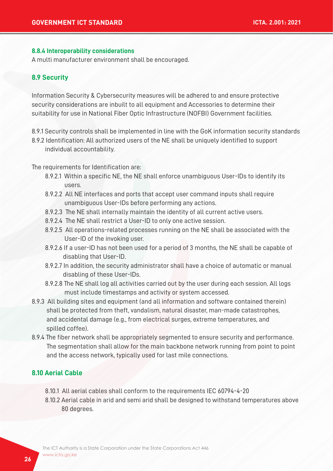#### **8.8.4 Interoperability considerations**

A multi manufacturer environment shall be encouraged.

#### **8.9 Security**

Information Security & Cybersecurity measures will be adhered to and ensure protective security considerations are inbuilt to all equipment and Accessories to determine their suitability for use in National Fiber Optic Infrastructure (NOFBI) Government facilities.

8.9.1 Security controls shall be implemented in line with the GoK information security standards

8.9.2 Identification: All authorized users of the NE shall be uniquely identified to support individual accountability.

The requirements for Identification are:

- 8.9.2.1 Within a specific NE, the NE shall enforce unambiguous User-IDs to identify its users.
- 8.9.2.2 All NE interfaces and ports that accept user command inputs shall require unambiguous User-IDs before performing any actions.
- 8.9.2.3 The NE shall internally maintain the identity of all current active users.
- 8.9.2.4 The NE shall restrict a User-ID to only one active session.
- 8.9.2.5 All operations-related processes running on the NE shall be associated with the User-ID of the invoking user.
- 8.9.2.6 If a user-ID has not been used for a period of 3 months, the NE shall be capable of disabling that User-ID.
- 8.9.2.7 In addition, the security administrator shall have a choice of automatic or manual disabling of these User-IDs.
- 8.9.2.8 The NE shall log all activities carried out by the user during each session. All logs must include timestamps and activity or system accessed.
- 8.9.3 All building sites and equipment (and all information and software contained therein) shall be protected from theft, vandalism, natural disaster, man-made catastrophes, and accidental damage (e.g., from electrical surges, extreme temperatures, and spilled coffee).
- 8.9.4 The fiber network shall be appropriately segmented to ensure security and performance. The segmentation shall allow for the main backbone network running from point to point and the access network, typically used for last mile connections.

### **8.10 Aerial Cable**

- 8.10.1 All aerial cables shall conform to the requirements IEC 60794-4-20
- 8.10.2 Aerial cable in arid and semi arid shall be designed to withstand temperatures above 80 degrees.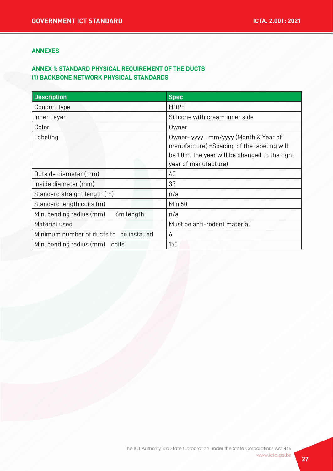#### **ANNEXES**

## **ANNEX 1: STANDARD PHYSICAL REQUIREMENT OF THE DUCTS (1) BACKBONE NETWORK PHYSICAL STANDARDS**

| <b>Description</b>                      | <b>Spec</b>                                                                                                                                                    |
|-----------------------------------------|----------------------------------------------------------------------------------------------------------------------------------------------------------------|
| Conduit Type                            | <b>HDPE</b>                                                                                                                                                    |
| Inner Layer                             | Silicone with cream inner side                                                                                                                                 |
| Color                                   | Owner                                                                                                                                                          |
| Labeling                                | Owner- yyyy= mm/yyyy (Month & Year of<br>manufacture) = Spacing of the labeling will<br>be 1.0m. The year will be changed to the right<br>year of manufacture) |
| Outside diameter (mm)                   | 40                                                                                                                                                             |
| Inside diameter (mm)                    | 33                                                                                                                                                             |
| Standard straight length (m)            | n/a                                                                                                                                                            |
| Standard length coils (m)               | <b>Min 50</b>                                                                                                                                                  |
| Min. bending radius (mm)<br>6m length   | n/a                                                                                                                                                            |
| Material used                           | Must be anti-rodent material                                                                                                                                   |
| Minimum number of ducts to be installed | 6                                                                                                                                                              |
| Min. bending radius (mm) coils          | 150                                                                                                                                                            |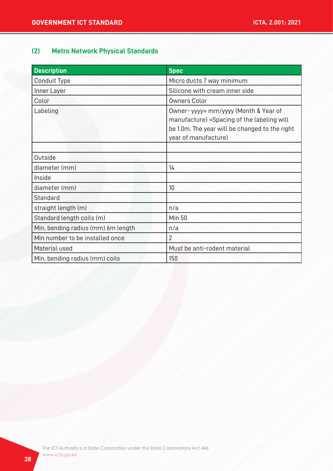# **(2) Metro Network Physical Standards**

| <b>Description</b>                 | <b>Spec</b>                                                                                                                                                   |
|------------------------------------|---------------------------------------------------------------------------------------------------------------------------------------------------------------|
| Conduit Type                       | Micro ducts 7 way minimum                                                                                                                                     |
| Inner Layer                        | Silicone with cream inner side                                                                                                                                |
| Color                              | <b>Owners Color</b>                                                                                                                                           |
| Labeling                           | Owner-yyyy= mm/yyyy (Month & Year of<br>manufacture) = Spacing of the labeling will<br>be 1.0m. The year will be changed to the right<br>year of manufacture) |
| Outside                            |                                                                                                                                                               |
| diameter (mm)                      | 14                                                                                                                                                            |
| Inside                             |                                                                                                                                                               |
| diameter (mm)                      | 10                                                                                                                                                            |
| Standard                           |                                                                                                                                                               |
| straight length (m)                | n/a                                                                                                                                                           |
| Standard length coils (m)          | <b>Min 50</b>                                                                                                                                                 |
| Min. bending radius (mm) 6m length | n/a                                                                                                                                                           |
| Min number to be installed once    | $\overline{2}$                                                                                                                                                |
| Material used                      | Must be anti-rodent material                                                                                                                                  |
| Min. bending radius (mm) coils     | 150                                                                                                                                                           |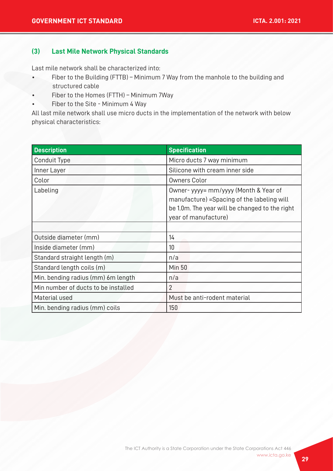#### **(3) Last Mile Network Physical Standards**

Last mile network shall be characterized into:

- Fiber to the Building (FTTB) Minimum 7 Way from the manhole to the building and structured cable
- Fiber to the Homes (FTTH) Minimum 7Way
- Fiber to the Site Minimum 4 Way

All last mile network shall use micro ducts in the implementation of the network with below physical characteristics:

| <b>Description</b>                  | <b>Specification</b>                                                                                                                                           |
|-------------------------------------|----------------------------------------------------------------------------------------------------------------------------------------------------------------|
| Conduit Type                        | Micro ducts 7 way minimum                                                                                                                                      |
| Inner Layer                         | Silicone with cream inner side                                                                                                                                 |
| Color                               | <b>Owners Color</b>                                                                                                                                            |
| Labeling                            | Owner- yyyy= mm/yyyy (Month & Year of<br>manufacture) = Spacing of the labeling will<br>be 1.0m. The year will be changed to the right<br>year of manufacture) |
|                                     |                                                                                                                                                                |
| Outside diameter (mm)               | 14                                                                                                                                                             |
| Inside diameter (mm)                | 10                                                                                                                                                             |
| Standard straight length (m)        | n/a                                                                                                                                                            |
| Standard length coils (m)           | <b>Min 50</b>                                                                                                                                                  |
| Min. bending radius (mm) 6m length  | n/a                                                                                                                                                            |
| Min number of ducts to be installed | $\overline{2}$                                                                                                                                                 |
| Material used                       | Must be anti-rodent material                                                                                                                                   |
| Min. bending radius (mm) coils      | 150                                                                                                                                                            |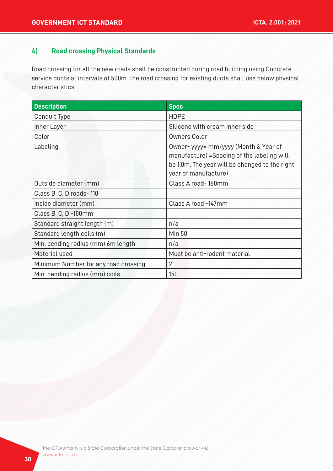## **4) Road crossing Physical Standards**

Road crossing for all the new roads shall be constructed during road building using Concrete service ducts at intervals of 500m. The road crossing for existing ducts shall use below physical characteristics:

| <b>Description</b>                   | <b>Spec</b>                                                                                                                                                    |
|--------------------------------------|----------------------------------------------------------------------------------------------------------------------------------------------------------------|
| Conduit Type                         | <b>HDPE</b>                                                                                                                                                    |
| Inner Layer                          | Silicone with cream inner side                                                                                                                                 |
| Color                                | <b>Owners Color</b>                                                                                                                                            |
| Labeling                             | Owner- yyyy= mm/yyyy (Month & Year of<br>manufacture) = Spacing of the labeling will<br>be 1.0m. The year will be changed to the right<br>year of manufacture) |
| Outside diameter (mm)                | Class A road-160mm                                                                                                                                             |
| Class B, C, D roads-110              |                                                                                                                                                                |
| Inside diameter (mm)                 | Class A road -147mm                                                                                                                                            |
| Class B, C, D -100mm                 |                                                                                                                                                                |
| Standard straight length (m)         | n/a                                                                                                                                                            |
| Standard length coils (m)            | <b>Min 50</b>                                                                                                                                                  |
| Min. bending radius (mm) 6m length   | n/a                                                                                                                                                            |
| Material used                        | Must be anti-rodent material                                                                                                                                   |
| Minimum Number for any road crossing | 2                                                                                                                                                              |
| Min. bending radius (mm) coils       | 150                                                                                                                                                            |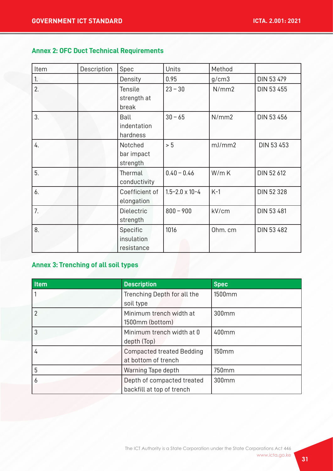# **Annex 2: OFC Duct Technical Requirements**

| Item             | Description | Spec                                   | Units                     | Method  |            |
|------------------|-------------|----------------------------------------|---------------------------|---------|------------|
| 1.               |             | Density                                | 0.95                      | g/cm3   | DIN 53 479 |
| $\overline{2}$ . |             | <b>Tensile</b><br>strength at<br>break | $23 - 30$                 | N/mm2   | DIN 53 455 |
| 3.               |             | Ball<br>indentation<br>hardness        | $30 - 65$                 | N/mm2   | DIN 53 456 |
| 4.               |             | Notched<br>bar impact<br>strength      | > 5                       | mJ/mm2  | DIN 53 453 |
| 5.               |             | Thermal<br>conductivity                | $0.40 - 0.46$             | W/mK    | DIN 52 612 |
| 6.               |             | Coefficient of<br>elongation           | $1.5 - 2.0 \times 10 - 4$ | $K-1$   | DIN 52 328 |
| 7.               |             | <b>Dielectric</b><br>strength          | $800 - 900$               | kV/cm   | DIN 53 481 |
| 8.               |             | Specific<br>insulation<br>resistance   | 1016                      | Ohm. cm | DIN 53 482 |

# **Annex 3: Trenching of all soil types**

| <b>Item</b> | <b>Description</b>               | <b>Spec</b> |
|-------------|----------------------------------|-------------|
|             | Trenching Depth for all the      | 1500mm      |
|             | soil type                        |             |
|             | Minimum trench width at          | 300mm       |
|             | 1500mm (bottom)                  |             |
| 3           | Minimum trench width at 0        | 400mm       |
|             | depth (Top)                      |             |
| 4           | <b>Compacted treated Bedding</b> | 150mm       |
|             | at bottom of trench              |             |
| 5           | Warning Tape depth               | 750mm       |
| 6           | Depth of compacted treated       | 300mm       |
|             | backfill at top of trench        |             |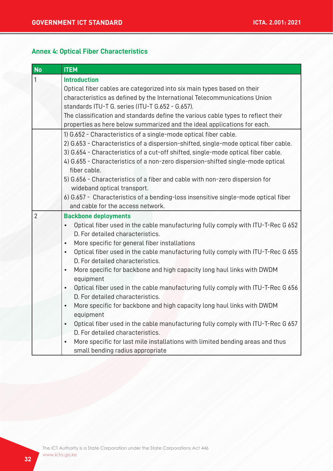#### **Annex 4: Optical Fiber Characteristics**

| <b>No</b>                                                                            | <b>ITEM</b>                                                                                                         |  |  |  |
|--------------------------------------------------------------------------------------|---------------------------------------------------------------------------------------------------------------------|--|--|--|
| <b>Introduction</b><br>1                                                             |                                                                                                                     |  |  |  |
|                                                                                      | Optical fiber cables are categorized into six main types based on their                                             |  |  |  |
|                                                                                      | characteristics as defined by the International Telecommunications Union                                            |  |  |  |
|                                                                                      | standards ITU-T G. series (ITU-T G.652 - G.657).                                                                    |  |  |  |
|                                                                                      | The classification and standards define the various cable types to reflect their                                    |  |  |  |
| properties as here below summarized and the ideal applications for each.             |                                                                                                                     |  |  |  |
|                                                                                      | 1) G.652 - Characteristics of a single-mode optical fiber cable.                                                    |  |  |  |
| 2) G.653 - Characteristics of a dispersion-shifted, single-mode optical fiber cable. |                                                                                                                     |  |  |  |
|                                                                                      | 3) G.654 - Characteristics of a cut-off shifted, single-mode optical fiber cable.                                   |  |  |  |
|                                                                                      | 4) G.655 - Characteristics of a non-zero dispersion-shifted single-mode optical                                     |  |  |  |
|                                                                                      | fiber cable.                                                                                                        |  |  |  |
|                                                                                      | 5) G.656 - Characteristics of a fiber and cable with non-zero dispersion for                                        |  |  |  |
|                                                                                      | wideband optical transport.                                                                                         |  |  |  |
|                                                                                      | 6) G.657 - Characteristics of a bending-loss insensitive single-mode optical fiber                                  |  |  |  |
|                                                                                      | and cable for the access network.                                                                                   |  |  |  |
| $\overline{2}$                                                                       | <b>Backbone deployments</b>                                                                                         |  |  |  |
|                                                                                      | Optical fiber used in the cable manufacturing fully comply with ITU-T-Rec G 652                                     |  |  |  |
|                                                                                      | D. For detailed characteristics.                                                                                    |  |  |  |
| More specific for general fiber installations<br>$\bullet$                           |                                                                                                                     |  |  |  |
|                                                                                      | Optical fiber used in the cable manufacturing fully comply with ITU-T-Rec G 655<br>$\bullet$                        |  |  |  |
|                                                                                      | D. For detailed characteristics.                                                                                    |  |  |  |
|                                                                                      | More specific for backbone and high capacity long haul links with DWDM<br>$\bullet$                                 |  |  |  |
|                                                                                      | equipment                                                                                                           |  |  |  |
|                                                                                      | Optical fiber used in the cable manufacturing fully comply with ITU-T-Rec G 656<br>D. For detailed characteristics. |  |  |  |
|                                                                                      | More specific for backbone and high capacity long haul links with DWDM<br>$\bullet$                                 |  |  |  |
|                                                                                      | equipment                                                                                                           |  |  |  |
|                                                                                      | Optical fiber used in the cable manufacturing fully comply with ITU-T-Rec G 657<br>$\bullet$                        |  |  |  |
|                                                                                      | D. For detailed characteristics.                                                                                    |  |  |  |
|                                                                                      | More specific for last mile installations with limited bending areas and thus                                       |  |  |  |
|                                                                                      | small bending radius appropriate                                                                                    |  |  |  |
|                                                                                      |                                                                                                                     |  |  |  |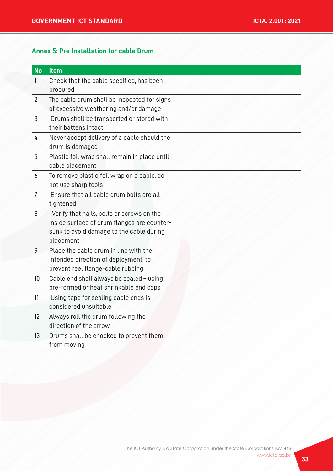# **Annex 5: Pre Installation for cable Drum**

| <b>No</b>      | <b>Item</b>                                   |  |
|----------------|-----------------------------------------------|--|
| 1              | Check that the cable specified, has been      |  |
|                | procured                                      |  |
| $\overline{2}$ | The cable drum shall be inspected for signs   |  |
|                | of excessive weathering and/or damage         |  |
| 3              | Drums shall be transported or stored with     |  |
|                | their battens intact                          |  |
| 4              | Never accept delivery of a cable should the   |  |
|                | drum is damaged                               |  |
| 5              | Plastic foil wrap shall remain in place until |  |
|                | cable placement                               |  |
| 6              | To remove plastic foil wrap on a cable, do    |  |
|                | not use sharp tools                           |  |
| $\overline{7}$ | Ensure that all cable drum bolts are all      |  |
|                | tightened                                     |  |
| 8              | Verify that nails, bolts or screws on the     |  |
|                | inside surface of drum flanges are counter-   |  |
|                | sunk to avoid damage to the cable during      |  |
|                | placement.                                    |  |
| 9              | Place the cable drum in line with the         |  |
|                | intended direction of deployment, to          |  |
|                | prevent reel flange-cable rubbing             |  |
| 10             | Cable end shall always be sealed - using      |  |
|                | pre-formed or heat shrinkable end caps        |  |
| 11             | Using tape for sealing cable ends is          |  |
|                | considered unsuitable                         |  |
| 12             | Always roll the drum following the            |  |
|                | direction of the arrow                        |  |
| 13             | Drums shall be chocked to prevent them        |  |
|                | from moving                                   |  |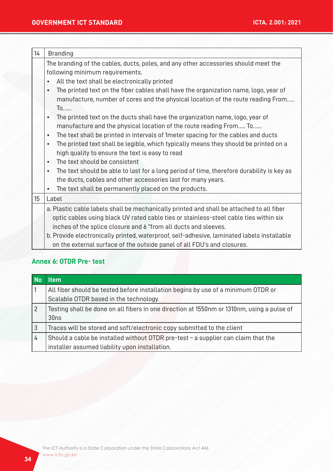| 14               | <b>Branding</b>                                                                                                                                                                                                                                                                                                                                                                                                                                                                                                                                                                                                                                                                                                                                                                                                                                                                                                                                                                                                                                                                                    |  |
|------------------|----------------------------------------------------------------------------------------------------------------------------------------------------------------------------------------------------------------------------------------------------------------------------------------------------------------------------------------------------------------------------------------------------------------------------------------------------------------------------------------------------------------------------------------------------------------------------------------------------------------------------------------------------------------------------------------------------------------------------------------------------------------------------------------------------------------------------------------------------------------------------------------------------------------------------------------------------------------------------------------------------------------------------------------------------------------------------------------------------|--|
|                  | The branding of the cables, ducts, poles, and any other accessories should meet the<br>following minimum requirements.<br>All the text shall be electronically printed<br>The printed text on the fiber cables shall have the organization name, logo, year of<br>$\bullet$<br>manufacture, number of cores and the physical location of the route reading From<br>To<br>The printed text on the ducts shall have the organization name, logo, year of<br>$\bullet$<br>manufacture and the physical location of the route reading From To<br>The text shall be printed in intervals of 1 meter spacing for the cables and ducts<br>$\bullet$<br>The printed text shall be legible, which typically means they should be printed on a<br>$\bullet$<br>high quality to ensure the text is easy to read<br>The text should be consistent<br>$\bullet$<br>The text should be able to last for a long period of time, therefore durability is key as<br>$\bullet$<br>the ducts, cables and other accessories last for many years.<br>The text shall be permanently placed on the products.<br>$\bullet$ |  |
| 15 <sup>15</sup> | Label                                                                                                                                                                                                                                                                                                                                                                                                                                                                                                                                                                                                                                                                                                                                                                                                                                                                                                                                                                                                                                                                                              |  |
|                  | a. Plastic cable labels shall be mechanically printed and shall be attached to all fiber<br>optic cables using black UV rated cable ties or stainless-steel cable ties within six<br>inches of the splice closure and 6 "from all ducts and sleeves.<br>b. Provide electronically printed, waterproof, self-adhesive, laminated labels installable<br>on the external surface of the outside panel of all FDU's and closures.                                                                                                                                                                                                                                                                                                                                                                                                                                                                                                                                                                                                                                                                      |  |

# **Annex 6: OTDR Pre- test**

| No             | ltem                                                                                                                                  |
|----------------|---------------------------------------------------------------------------------------------------------------------------------------|
|                | All fiber should be tested before installation begins by use of a minimum OTDR or<br>Scalable OTDR based in the technology.           |
| $\overline{2}$ | Testing shall be done on all fibers in one direction at 1550nm or 1310nm, using a pulse of<br>30ns                                    |
| 3              | Traces will be stored and soft/electronic copy submitted to the client                                                                |
| 4              | Should a cable be installed without OTDR pre-test $-$ a supplier can claim that the<br>installer assumed liability upon installation. |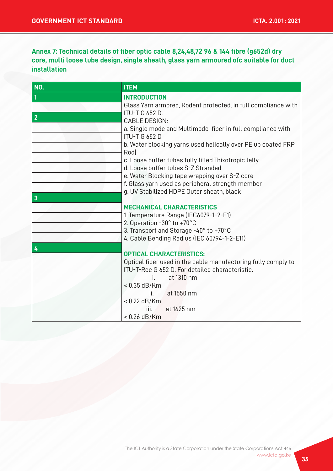# **Annex 7: Technical details of fiber optic cable 8,24,48,72 96 & 144 fibre (g652d) dry core, multi loose tube design, single sheath, glass yarn armoured ofc suitable for duct installation**

| <b>ITEM</b>                                                                                |  |
|--------------------------------------------------------------------------------------------|--|
| <b>INTRODUCTION</b>                                                                        |  |
| Glass Yarn armored, Rodent protected, in full compliance with                              |  |
| <b>ITU-T G 652 D.</b>                                                                      |  |
| <b>CABLE DESIGN:</b>                                                                       |  |
| a. Single mode and Multimode fiber in full compliance with                                 |  |
| <b>ITU-T G 652 D</b>                                                                       |  |
| b. Water blocking yarns used helically over PE up coated FRP                               |  |
| Rod[                                                                                       |  |
| c. Loose buffer tubes fully filled Thixotropic Jelly<br>d. Loose buffer tubes S-Z Stranded |  |
| e. Water Blocking tape wrapping over S-Z core                                              |  |
| f. Glass yarn used as peripheral strength member                                           |  |
| g. UV Stabilized HDPE Outer sheath, black                                                  |  |
|                                                                                            |  |
| <b>MECHANICAL CHARACTERISTICS</b>                                                          |  |
| 1. Temperature Range (IEC6079-1-2-F1)                                                      |  |
| 2. Operation -30° to +70°C                                                                 |  |
| 3. Transport and Storage -40° to +70°C                                                     |  |
| 4. Cable Bending Radius (IEC 60794-1-2-E11)                                                |  |
|                                                                                            |  |
| <b>OPTICAL CHARACTERISTICS:</b>                                                            |  |
| Optical fiber used in the cable manufacturing fully comply to                              |  |
| ITU-T-Rec G 652 D. For detailed characteristic.                                            |  |
| at 1310 nm<br>i e s<br>$< 0.35$ dB/Km                                                      |  |
| at 1550 nm<br>ii. –                                                                        |  |
| $< 0.22$ dB/Km                                                                             |  |
| at 1625 nm<br>iii.                                                                         |  |
| $< 0.26$ dB/Km                                                                             |  |
|                                                                                            |  |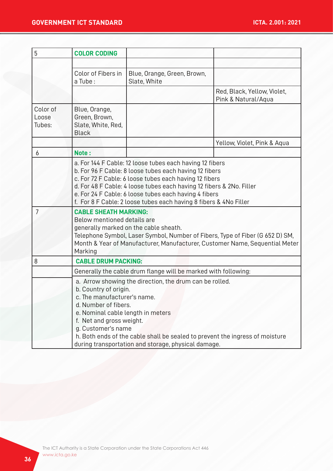| 5                           | <b>COLOR CODING</b>                                                                                                                                                                                                                                                                                                                                                  |                                                                                                                                                                                                                                                                                                                                                                                    |                                                    |  |
|-----------------------------|----------------------------------------------------------------------------------------------------------------------------------------------------------------------------------------------------------------------------------------------------------------------------------------------------------------------------------------------------------------------|------------------------------------------------------------------------------------------------------------------------------------------------------------------------------------------------------------------------------------------------------------------------------------------------------------------------------------------------------------------------------------|----------------------------------------------------|--|
|                             |                                                                                                                                                                                                                                                                                                                                                                      |                                                                                                                                                                                                                                                                                                                                                                                    |                                                    |  |
|                             | Color of Fibers in<br>a Tube:                                                                                                                                                                                                                                                                                                                                        | Blue, Orange, Green, Brown,<br>Slate, White                                                                                                                                                                                                                                                                                                                                        |                                                    |  |
|                             |                                                                                                                                                                                                                                                                                                                                                                      |                                                                                                                                                                                                                                                                                                                                                                                    | Red, Black, Yellow, Violet,<br>Pink & Natural/Aqua |  |
| Color of<br>Loose<br>Tubes: | Blue, Orange,<br>Green, Brown,<br>Slate, White, Red,<br><b>Black</b>                                                                                                                                                                                                                                                                                                 |                                                                                                                                                                                                                                                                                                                                                                                    |                                                    |  |
|                             |                                                                                                                                                                                                                                                                                                                                                                      |                                                                                                                                                                                                                                                                                                                                                                                    | Yellow, Violet, Pink & Aqua                        |  |
| 6                           | Note:                                                                                                                                                                                                                                                                                                                                                                |                                                                                                                                                                                                                                                                                                                                                                                    |                                                    |  |
|                             |                                                                                                                                                                                                                                                                                                                                                                      | a. For 144 F Cable: 12 loose tubes each having 12 fibers<br>b. For 96 F Cable: 8 loose tubes each having 12 fibers<br>c. For 72 F Cable: 6 loose tubes each having 12 fibers<br>d. For 48 F Cable: 4 loose tubes each having 12 fibers & 2No. Filler<br>e. For 24 F Cable: 6 loose tubes each having 4 fibers<br>f. For 8 F Cable: 2 loose tubes each having 8 fibers & 4No Filler |                                                    |  |
| 7                           | <b>CABLE SHEATH MARKING:</b><br>Below mentioned details are<br>generally marked on the cable sheath.<br>Telephone Symbol, Laser Symbol, Number of Fibers, Type of Fiber (G 652 D) SM,<br>Month & Year of Manufacturer, Manufacturer, Customer Name, Sequential Meter<br>Marking                                                                                      |                                                                                                                                                                                                                                                                                                                                                                                    |                                                    |  |
| 8                           | <b>CABLE DRUM PACKING:</b>                                                                                                                                                                                                                                                                                                                                           |                                                                                                                                                                                                                                                                                                                                                                                    |                                                    |  |
|                             | Generally the cable drum flange will be marked with following:                                                                                                                                                                                                                                                                                                       |                                                                                                                                                                                                                                                                                                                                                                                    |                                                    |  |
|                             | a. Arrow showing the direction, the drum can be rolled.<br>b. Country of origin.<br>c. The manufacturer's name<br>d. Number of fibers.<br>e. Nominal cable length in meters<br>f. Net and gross weight.<br>g. Customer's name<br>h. Both ends of the cable shall be sealed to prevent the ingress of moisture<br>during transportation and storage, physical damage. |                                                                                                                                                                                                                                                                                                                                                                                    |                                                    |  |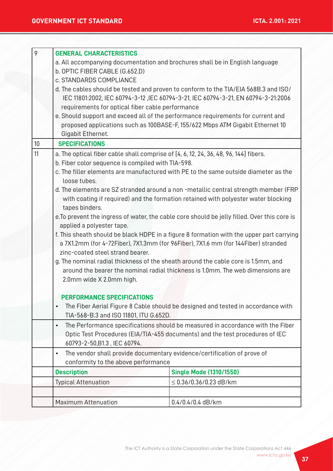| 9                                                                                                                         | <b>GENERAL CHARACTERISTICS</b>                                                                                                                                               |                                                                                |  |
|---------------------------------------------------------------------------------------------------------------------------|------------------------------------------------------------------------------------------------------------------------------------------------------------------------------|--------------------------------------------------------------------------------|--|
|                                                                                                                           | a. All accompanying documentation and brochures shall be in English language                                                                                                 |                                                                                |  |
|                                                                                                                           | b. OPTIC FIBER CABLE (G.652.D)                                                                                                                                               |                                                                                |  |
|                                                                                                                           | c. STANDARDS COMPLIANCE                                                                                                                                                      |                                                                                |  |
|                                                                                                                           | d. The cables should be tested and proven to conform to the TIA/EIA 568B.3 and ISO/                                                                                          |                                                                                |  |
|                                                                                                                           | IEC 11801:2002, IEC 60794-3-12, IEC 60794-3-21, IEC 60794-3-21, EN 60794-3-21:2006                                                                                           |                                                                                |  |
|                                                                                                                           | requirements for optical fiber cable performance                                                                                                                             |                                                                                |  |
|                                                                                                                           | e. Should support and exceed all of the performance requirements for current and                                                                                             |                                                                                |  |
|                                                                                                                           | proposed applications such as 100BASE-F, 155/622 Mbps ATM Gigabit Ethernet 10                                                                                                |                                                                                |  |
|                                                                                                                           | Gigabit Ethernet.                                                                                                                                                            |                                                                                |  |
| 10                                                                                                                        | <b>SPECIFICATIONS</b>                                                                                                                                                        |                                                                                |  |
| 11                                                                                                                        | a. The optical fiber cable shall comprise of [4, 6, 12, 24, 36, 48, 96, 144] fibers.                                                                                         |                                                                                |  |
|                                                                                                                           | b. Fiber color sequence is compiled with TIA-598.                                                                                                                            |                                                                                |  |
|                                                                                                                           | c. The filler elements are manufactured with PE to the same outside diameter as the                                                                                          |                                                                                |  |
|                                                                                                                           | loose tubes.                                                                                                                                                                 |                                                                                |  |
|                                                                                                                           | d. The elements are SZ stranded around a non-metallic central strength member (FRP                                                                                           |                                                                                |  |
|                                                                                                                           | with coating if required) and the formation retained with polyester water blocking<br>tapes binders.                                                                         |                                                                                |  |
|                                                                                                                           |                                                                                                                                                                              |                                                                                |  |
| e. To prevent the ingress of water, the cable core should be jelly filled. Over this core is<br>applied a polyester tape. |                                                                                                                                                                              |                                                                                |  |
|                                                                                                                           |                                                                                                                                                                              |                                                                                |  |
|                                                                                                                           |                                                                                                                                                                              |                                                                                |  |
|                                                                                                                           |                                                                                                                                                                              |                                                                                |  |
|                                                                                                                           |                                                                                                                                                                              |                                                                                |  |
|                                                                                                                           |                                                                                                                                                                              |                                                                                |  |
|                                                                                                                           |                                                                                                                                                                              |                                                                                |  |
|                                                                                                                           |                                                                                                                                                                              |                                                                                |  |
|                                                                                                                           | <b>PERFORMANCE SPECIFICATIONS</b><br>The Fiber Aerial Figure 8 Cable should be designed and tested in accordance with<br>$\bullet$<br>TIA-568-B.3 and ISO 11801, ITU G.652D. |                                                                                |  |
|                                                                                                                           |                                                                                                                                                                              |                                                                                |  |
|                                                                                                                           |                                                                                                                                                                              |                                                                                |  |
|                                                                                                                           | $\bullet$                                                                                                                                                                    | The Performance specifications should be measured in accordance with the Fiber |  |
|                                                                                                                           |                                                                                                                                                                              | Optic Test Procedures (EIA/TIA-455 documents) and the test procedures of IEC   |  |
|                                                                                                                           | 60793-2-50, B1.3, IEC 60794.<br>The vendor shall provide documentary evidence/certification of prove of<br>$\bullet$<br>conformity to the above performance                  |                                                                                |  |
|                                                                                                                           |                                                                                                                                                                              |                                                                                |  |
|                                                                                                                           |                                                                                                                                                                              |                                                                                |  |
|                                                                                                                           | <b>Description</b>                                                                                                                                                           | <b>Single Mode (1310/1550)</b>                                                 |  |
|                                                                                                                           | <b>Typical Attenuation</b>                                                                                                                                                   | $\leq$ 0.36/0.36/0.23 dB/km                                                    |  |
|                                                                                                                           |                                                                                                                                                                              |                                                                                |  |
|                                                                                                                           | <b>Maximum Attenuation</b>                                                                                                                                                   | $0.4/0.4/0.4$ dB/km                                                            |  |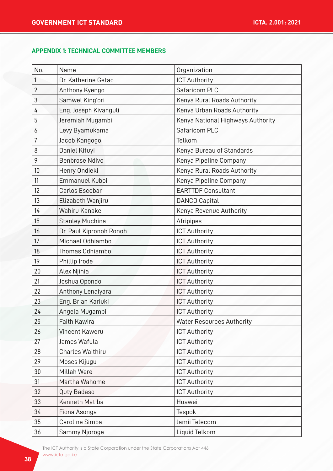#### **APPENDIX 1: TECHNICAL COMMITTEE MEMBERS**

| No.            | Name                    | Organization                      |
|----------------|-------------------------|-----------------------------------|
| 1              | Dr. Katherine Getao     | <b>ICT Authority</b>              |
| $\overline{2}$ | Anthony Kyengo          | Safaricom PLC                     |
| 3              | Samwel King'ori         | Kenya Rural Roads Authority       |
| 4              | Eng. Joseph Kivanguli   | Kenya Urban Roads Authority       |
| 5              | Jeremiah Mugambi        | Kenya National Highways Authority |
| 6              | Levy Byamukama          | Safaricom PLC                     |
| 7              | Jacob Kangogo           | Telkom                            |
| 8              | Daniel Kituyi           | Kenya Bureau of Standards         |
| 9              | <b>Benbrose Ndivo</b>   | Kenya Pipeline Company            |
| 10             | Henry Ondieki           | Kenya Rural Roads Authority       |
| 11             | Emmanuel Kuboi          | Kenya Pipeline Company            |
| 12             | Carlos Escobar          | <b>EARTTDF Consultant</b>         |
| 13             | Elizabeth Wanjiru       | <b>DANCO Capital</b>              |
| 14             | Wahiru Kanake           | Kenya Revenue Authority           |
| 15             | <b>Stanley Muchina</b>  | Afripipes                         |
| 16             | Dr. Paul Kipronoh Ronoh | <b>ICT Authority</b>              |
| 17             | Michael Odhiambo        | <b>ICT Authority</b>              |
| 18             | Thomas Odhiambo         | <b>ICT Authority</b>              |
| 19             | Phillip Irode           | <b>ICT Authority</b>              |
| 20             | Alex Njihia             | <b>ICT Authority</b>              |
| 21             | Joshua Opondo           | <b>ICT Authority</b>              |
| 22             | Anthony Lenaiyara       | <b>ICT Authority</b>              |
| 23             | Eng. Brian Kariuki      | <b>ICT Authority</b>              |
| 24             | Angela Mugambi          | <b>ICT Authority</b>              |
| 25             | Faith Kawira            | <b>Water Resources Authority</b>  |
| 26             | Vincent Kaweru          | <b>ICT Authority</b>              |
| 27             | James Wafula            | <b>ICT Authority</b>              |
| 28             | Charles Waithiru        | <b>ICT Authority</b>              |
| 29             | Moses Kijugu            | <b>ICT Authority</b>              |
| 30             | <b>Millah Were</b>      | <b>ICT Authority</b>              |
| 31             | Martha Wahome           | <b>ICT Authority</b>              |
| 32             | Quty Badaso             | <b>ICT Authority</b>              |
| 33             | Kenneth Matiba          | Huawei                            |
| 34             | Fiona Asonga            | Tespok                            |
| 35             | Caroline Simba          | Jamii Telecom                     |
| 36             | Sammy Njoroge           | Liquid Telkom                     |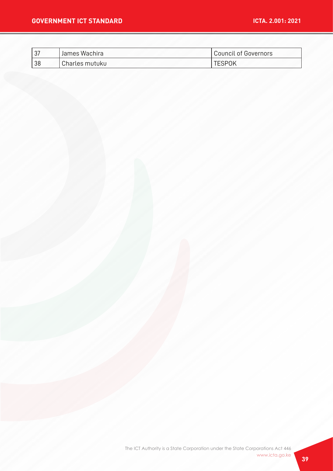| רפו<br>, ט | ' James Wachira | Council of Governors |
|------------|-----------------|----------------------|
| 38         | Charles mutuku  | <b>TESPOK</b>        |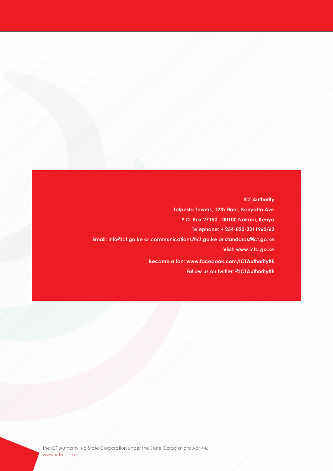**ICT Authority Telposta Towers, 12th Floor, Kenyatta Ave P.O. Box 27150 - 00100 Nairobi, Kenya Telephone: + 254-020-2211960/62 Email: info@ict.go.ke or communications@ict.go.ke or standards@ict.go.ke Visit: www.icta.go.ke Become a fan: www.facebook.com/ICTAuthorityKE Follow us on twitter: @ICTAuthorityKE**